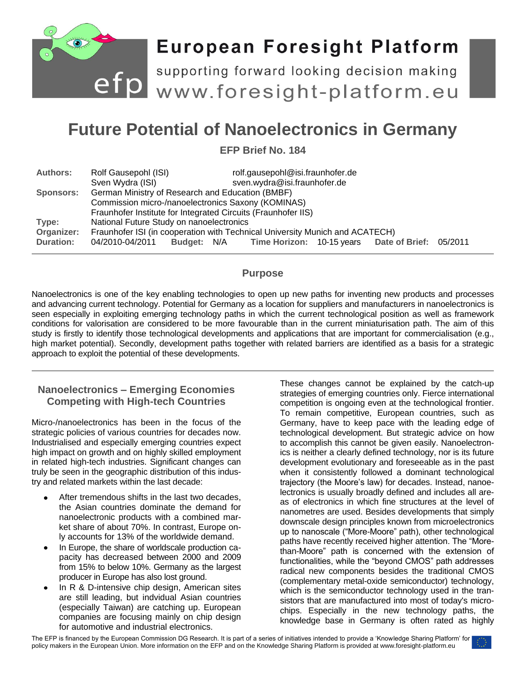

# **European Foresight Platform**

efp supporting forward looking decision making<br>
www.foresight-platform.eu

## **Future Potential of Nanoelectronics in Germany**

**EFP Brief No. 184**

| <b>Authors:</b>  | Rolf Gausepohl (ISI)                                                                                                                                                    | rolf.gausepohl@isi.fraunhofer.de                             |  |  |  |
|------------------|-------------------------------------------------------------------------------------------------------------------------------------------------------------------------|--------------------------------------------------------------|--|--|--|
|                  | Sven Wydra (ISI)                                                                                                                                                        | sven.wydra@isi.fraunhofer.de                                 |  |  |  |
| <b>Sponsors:</b> | German Ministry of Research and Education (BMBF)<br>Commission micro-/nanoelectronics Saxony (KOMINAS)<br>Fraunhofer Institute for Integrated Circuits (Fraunhofer IIS) |                                                              |  |  |  |
|                  |                                                                                                                                                                         |                                                              |  |  |  |
|                  |                                                                                                                                                                         |                                                              |  |  |  |
| Type:            | National Future Study on nanoelectronics                                                                                                                                |                                                              |  |  |  |
| Organizer:       | Fraunhofer ISI (in cooperation with Technical University Munich and ACATECH)                                                                                            |                                                              |  |  |  |
| <b>Duration:</b> | 04/2010-04/2011                                                                                                                                                         | Budget: N/A Time Horizon: 10-15 years Date of Brief: 05/2011 |  |  |  |

### **Purpose**

Nanoelectronics is one of the key enabling technologies to open up new paths for inventing new products and processes and advancing current technology. Potential for Germany as a location for suppliers and manufacturers in nanoelectronics is seen especially in exploiting emerging technology paths in which the current technological position as well as framework conditions for valorisation are considered to be more favourable than in the current miniaturisation path. The aim of this study is firstly to identify those technological developments and applications that are important for commercialisation (e.g., high market potential). Secondly, development paths together with related barriers are identified as a basis for a strategic approach to exploit the potential of these developments.

## **Nanoelectronics – Emerging Economies Competing with High-tech Countries**

Micro-/nanoelectronics has been in the focus of the strategic policies of various countries for decades now. Industrialised and especially emerging countries expect high impact on growth and on highly skilled employment in related high-tech industries. Significant changes can truly be seen in the geographic distribution of this industry and related markets within the last decade:

- After tremendous shifts in the last two decades, the Asian countries dominate the demand for nanoelectronic products with a combined market share of about 70%. In contrast, Europe only accounts for 13% of the worldwide demand.
- In Europe, the share of worldscale production capacity has decreased between 2000 and 2009 from 15% to below 10%. Germany as the largest producer in Europe has also lost ground.
- In R & D-intensive chip design, American sites are still leading, but indvidual Asian countries (especially Taiwan) are catching up. European companies are focusing mainly on chip design for automotive and industrial electronics.

These changes cannot be explained by the catch-up strategies of emerging countries only. Fierce international competition is ongoing even at the technological frontier. To remain competitive, European countries, such as Germany, have to keep pace with the leading edge of technological development. But strategic advice on how to accomplish this cannot be given easily. Nanoelectronics is neither a clearly defined technology, nor is its future development evolutionary and foreseeable as in the past when it consistently followed a dominant technological trajectory (the Moore"s law) for decades. Instead, nanoelectronics is usually broadly defined and includes all areas of electronics in which fine structures at the level of nanometres are used. Besides developments that simply downscale design principles known from microelectronics up to nanoscale ("More-Moore" path), other technological paths have recently received higher attention. The "Morethan-Moore" path is concerned with the extension of functionalities, while the "beyond CMOS" path addresses radical new components besides the traditional CMOS (complementary metal-oxide semiconductor) technology, which is the semiconductor technology used in the transistors that are manufactured into most of today's microchips. Especially in the new technology paths, the knowledge base in Germany is often rated as highly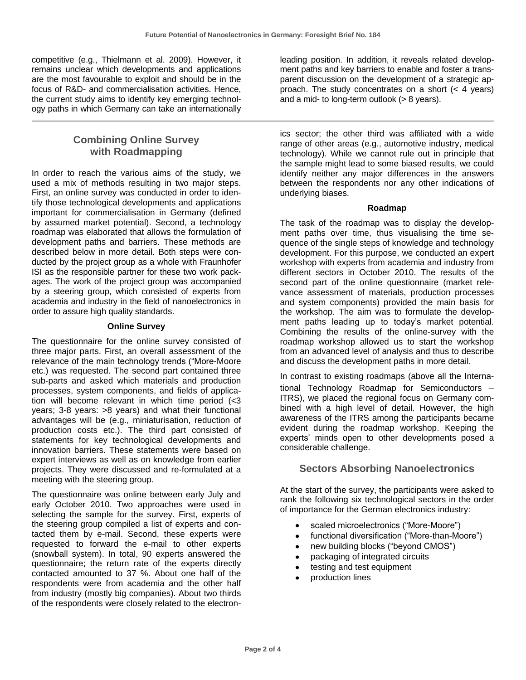competitive (e.g., Thielmann et al. 2009). However, it remains unclear which developments and applications are the most favourable to exploit and should be in the focus of R&D- and commercialisation activities. Hence, the current study aims to identify key emerging technology paths in which Germany can take an internationally

## **Combining Online Survey with Roadmapping**

In order to reach the various aims of the study, we used a mix of methods resulting in two major steps. First, an online survey was conducted in order to identify those technological developments and applications important for commercialisation in Germany (defined by assumed market potential). Second, a technology roadmap was elaborated that allows the formulation of development paths and barriers. These methods are described below in more detail. Both steps were conducted by the project group as a whole with Fraunhofer ISI as the responsible partner for these two work packages. The work of the project group was accompanied by a steering group, which consisted of experts from academia and industry in the field of nanoelectronics in order to assure high quality standards.

#### **Online Survey**

The questionnaire for the online survey consisted of three major parts. First, an overall assessment of the relevance of the main technology trends ("More-Moore etc.) was requested. The second part contained three sub-parts and asked which materials and production processes, system components, and fields of application will become relevant in which time period (<3 years; 3-8 years: >8 years) and what their functional advantages will be (e.g., miniaturisation, reduction of production costs etc.). The third part consisted of statements for key technological developments and innovation barriers. These statements were based on expert interviews as well as on knowledge from earlier projects. They were discussed and re-formulated at a meeting with the steering group.

The questionnaire was online between early July and early October 2010. Two approaches were used in selecting the sample for the survey. First, experts of the steering group compiled a list of experts and contacted them by e-mail. Second, these experts were requested to forward the e-mail to other experts (snowball system). In total, 90 experts answered the questionnaire; the return rate of the experts directly contacted amounted to 37 %. About one half of the respondents were from academia and the other half from industry (mostly big companies). About two thirds of the respondents were closely related to the electronleading position. In addition, it reveals related development paths and key barriers to enable and foster a transparent discussion on the development of a strategic approach. The study concentrates on a short (< 4 years) and a mid- to long-term outlook (> 8 years).

ics sector; the other third was affiliated with a wide range of other areas (e.g., automotive industry, medical technology). While we cannot rule out in principle that the sample might lead to some biased results, we could identify neither any major differences in the answers between the respondents nor any other indications of underlying biases.

#### **Roadmap**

The task of the roadmap was to display the development paths over time, thus visualising the time sequence of the single steps of knowledge and technology development. For this purpose, we conducted an expert workshop with experts from academia and industry from different sectors in October 2010. The results of the second part of the online questionnaire (market relevance assessment of materials, production processes and system components) provided the main basis for the workshop. The aim was to formulate the development paths leading up to today's market potential. Combining the results of the online-survey with the roadmap workshop allowed us to start the workshop from an advanced level of analysis and thus to describe and discuss the development paths in more detail.

In contrast to existing roadmaps (above all the International Technology Roadmap for Semiconductors – ITRS), we placed the regional focus on Germany combined with a high level of detail. However, the high awareness of the ITRS among the participants became evident during the roadmap workshop. Keeping the experts' minds open to other developments posed a considerable challenge.

#### **Sectors Absorbing Nanoelectronics**

At the start of the survey, the participants were asked to rank the following six technological sectors in the order of importance for the German electronics industry:

- scaled microelectronics ("More-Moore")
- functional diversification ("More-than-Moore")
- new building blocks ("beyond CMOS")
- packaging of integrated circuits
- testing and test equipment
- production lines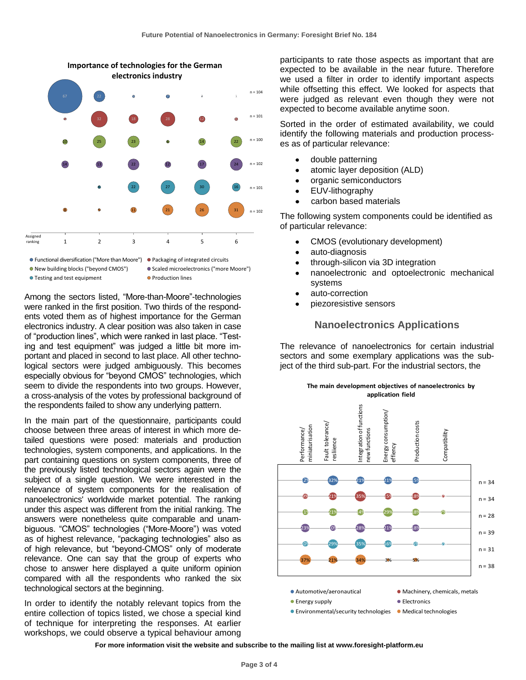

- Functional diversification ("More than Moore") Packaging of integrated circuits New building blocks ("beyond CMOS") Scaled microelectronics ("more Moore")
- $\bullet$  Testing and test equipment  $\bullet$  Production lines

Among the sectors listed, "More-than-Moore"-technologies were ranked in the first position. Two thirds of the respondents voted them as of highest importance for the German electronics industry. A clear position was also taken in case of "production lines", which were ranked in last place. "Testing and test equipment" was judged a little bit more important and placed in second to last place. All other technological sectors were judged ambiguously. This becomes especially obvious for "beyond CMOS" technologies, which seem to divide the respondents into two groups. However, a cross-analysis of the votes by professional background of the respondents failed to show any underlying pattern.

In the main part of the questionnaire, participants could choose between three areas of interest in which more detailed questions were posed: materials and production technologies, system components, and applications. In the part containing questions on system components, three of the previously listed technological sectors again were the subject of a single question. We were interested in the relevance of system components for the realisation of nanoelectronics' worldwide market potential. The ranking under this aspect was different from the initial ranking. The answers were nonetheless quite comparable and unambiguous. "CMOS" technologies ("More-Moore") was voted as of highest relevance, "packaging technologies" also as of high relevance, but "beyond-CMOS" only of moderate relevance. One can say that the group of experts who chose to answer here displayed a quite uniform opinion compared with all the respondents who ranked the six technological sectors at the beginning.

In order to identify the notably relevant topics from the entire collection of topics listed, we chose a special kind of technique for interpreting the responses. At earlier workshops, we could observe a typical behaviour among

participants to rate those aspects as important that are expected to be available in the near future. Therefore we used a filter in order to identify important aspects while offsetting this effect. We looked for aspects that were judged as relevant even though they were not expected to become available anytime soon.

Sorted in the order of estimated availability, we could identify the following materials and production processes as of particular relevance:

- double patterning
- atomic layer deposition (ALD)
- organic semiconductors
- EUV-lithography
- carbon based materials

The following system components could be identified as of particular relevance:

- CMOS (evolutionary development)  $\bullet$
- auto-diagnosis  $\bullet$
- through-silicon via 3D integration
- nanoelectronic and optoelectronic mechanical systems
- auto-correction
- piezoresistive sensors

#### **Nanoelectronics Applications**

The relevance of nanoelectronics for certain industrial sectors and some exemplary applications was the subject of the third sub-part. For the industrial sectors, the



**For more information visit the website and subscribe to the mailing list at www.foresight-platform.eu**